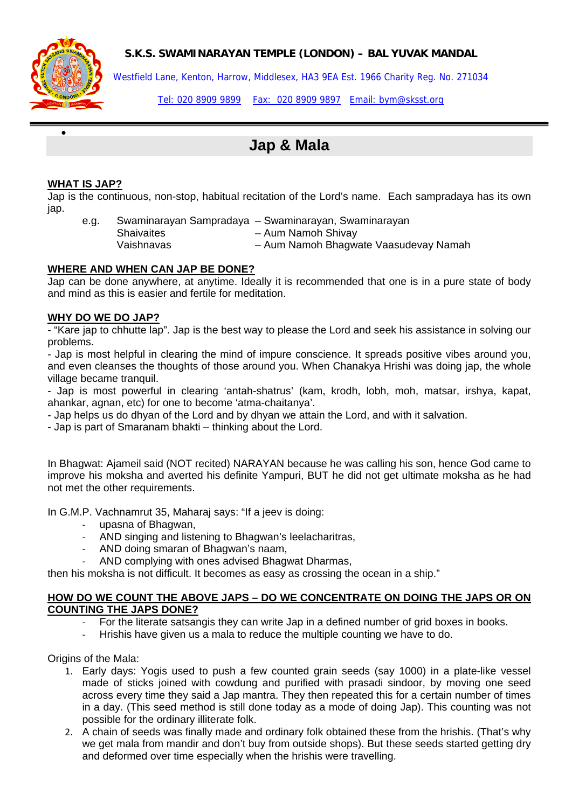**S.K.S. SWAMINARAYAN TEMPLE (LONDON) – BAL YUVAK MANDAL** 



•

Westfield Lane, Kenton, Harrow, Middlesex, HA3 9EA Est. 1966 Charity Reg. No. 271034

Tel: 020 8909 9899 Fax: 020 8909 9897 Email: bym@sksst.org

# **Jap & Mala**

#### **WHAT IS JAP?**

Jap is the continuous, non-stop, habitual recitation of the Lord's name. Each sampradaya has its own jap.

e.g. Swaminarayan Sampradaya – Swaminarayan, Swaminarayan Shaivaites – Aum Namoh Shivay Vaishnavas – Aum Namoh Bhagwate Vaasudevay Namah

#### **WHERE AND WHEN CAN JAP BE DONE?**

Jap can be done anywhere, at anytime. Ideally it is recommended that one is in a pure state of body and mind as this is easier and fertile for meditation.

#### **WHY DO WE DO JAP?**

- "Kare jap to chhutte lap". Jap is the best way to please the Lord and seek his assistance in solving our problems.

- Jap is most helpful in clearing the mind of impure conscience. It spreads positive vibes around you, and even cleanses the thoughts of those around you. When Chanakya Hrishi was doing jap, the whole village became tranquil.

- Jap is most powerful in clearing 'antah-shatrus' (kam, krodh, lobh, moh, matsar, irshya, kapat, ahankar, agnan, etc) for one to become 'atma-chaitanya'.

- Jap helps us do dhyan of the Lord and by dhyan we attain the Lord, and with it salvation.

- Jap is part of Smaranam bhakti – thinking about the Lord.

In Bhagwat: Ajameil said (NOT recited) NARAYAN because he was calling his son, hence God came to improve his moksha and averted his definite Yampuri, BUT he did not get ultimate moksha as he had not met the other requirements.

In G.M.P. Vachnamrut 35, Maharaj says: "If a jeev is doing:

- ‐ upasna of Bhagwan,
- ‐ AND singing and listening to Bhagwan's leelacharitras,
- ‐ AND doing smaran of Bhagwan's naam,
- ‐ AND complying with ones advised Bhagwat Dharmas,

then his moksha is not difficult. It becomes as easy as crossing the ocean in a ship."

#### **HOW DO WE COUNT THE ABOVE JAPS – DO WE CONCENTRATE ON DOING THE JAPS OR ON COUNTING THE JAPS DONE?**

- ‐ For the literate satsangis they can write Jap in a defined number of grid boxes in books.
- ‐ Hrishis have given us a mala to reduce the multiple counting we have to do.

Origins of the Mala:

- 1. Early days: Yogis used to push a few counted grain seeds (say 1000) in a plate-like vessel made of sticks joined with cowdung and purified with prasadi sindoor, by moving one seed across every time they said a Jap mantra. They then repeated this for a certain number of times in a day. (This seed method is still done today as a mode of doing Jap). This counting was not possible for the ordinary illiterate folk.
- 2. A chain of seeds was finally made and ordinary folk obtained these from the hrishis. (That's why we get mala from mandir and don't buy from outside shops). But these seeds started getting dry and deformed over time especially when the hrishis were travelling.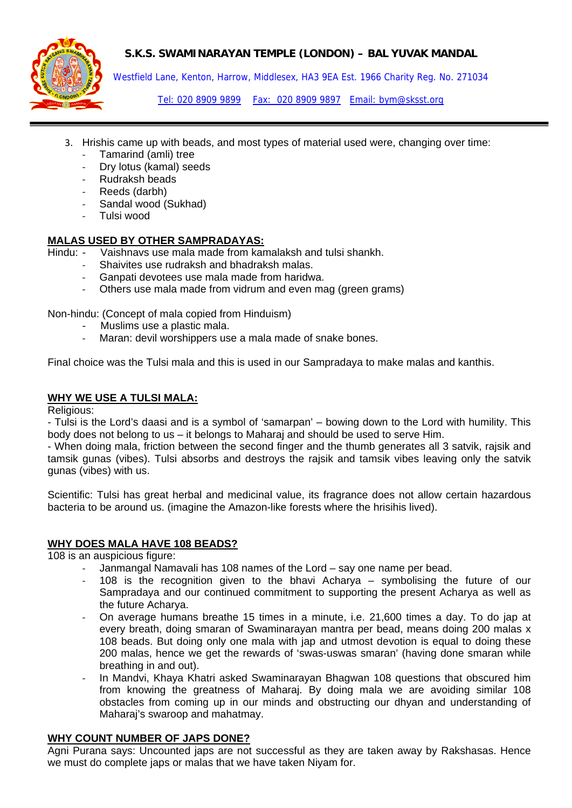# **S.K.S. SWAMINARAYAN TEMPLE (LONDON) – BAL YUVAK MANDAL**



Westfield Lane, Kenton, Harrow, Middlesex, HA3 9EA Est. 1966 Charity Reg. No. 271034

Tel: 020 8909 9899 Fax: 020 8909 9897 Email: bym@sksst.org

- 3. Hrishis came up with beads, and most types of material used were, changing over time:
	- ‐ Tamarind (amli) tree
	- ‐ Dry lotus (kamal) seeds
	- ‐ Rudraksh beads
	- ‐ Reeds (darbh)
	- Sandal wood (Sukhad)
	- ‐ Tulsi wood

## **MALAS USED BY OTHER SAMPRADAYAS:**

Hindu: - Vaishnavs use mala made from kamalaksh and tulsi shankh.

- ‐ Shaivites use rudraksh and bhadraksh malas.
- ‐ Ganpati devotees use mala made from haridwa.
- ‐ Others use mala made from vidrum and even mag (green grams)

Non-hindu: (Concept of mala copied from Hinduism)

- Muslims use a plastic mala.
- Maran: devil worshippers use a mala made of snake bones.

Final choice was the Tulsi mala and this is used in our Sampradaya to make malas and kanthis.

#### **WHY WE USE A TULSI MALA:**

Religious:

- Tulsi is the Lord's daasi and is a symbol of 'samarpan' – bowing down to the Lord with humility. This body does not belong to us – it belongs to Maharaj and should be used to serve Him.

- When doing mala, friction between the second finger and the thumb generates all 3 satvik, rajsik and tamsik gunas (vibes). Tulsi absorbs and destroys the rajsik and tamsik vibes leaving only the satvik gunas (vibes) with us.

Scientific: Tulsi has great herbal and medicinal value, its fragrance does not allow certain hazardous bacteria to be around us. (imagine the Amazon-like forests where the hrisihis lived).

#### **WHY DOES MALA HAVE 108 BEADS?**

108 is an auspicious figure:

- ‐ Janmangal Namavali has 108 names of the Lord say one name per bead.
- ‐ 108 is the recognition given to the bhavi Acharya symbolising the future of our Sampradaya and our continued commitment to supporting the present Acharya as well as the future Acharya.
- ‐ On average humans breathe 15 times in a minute, i.e. 21,600 times a day. To do jap at every breath, doing smaran of Swaminarayan mantra per bead, means doing 200 malas x 108 beads. But doing only one mala with jap and utmost devotion is equal to doing these 200 malas, hence we get the rewards of 'swas-uswas smaran' (having done smaran while breathing in and out).
- ‐ In Mandvi, Khaya Khatri asked Swaminarayan Bhagwan 108 questions that obscured him from knowing the greatness of Maharaj. By doing mala we are avoiding similar 108 obstacles from coming up in our minds and obstructing our dhyan and understanding of Maharaj's swaroop and mahatmay.

#### **WHY COUNT NUMBER OF JAPS DONE?**

Agni Purana says: Uncounted japs are not successful as they are taken away by Rakshasas. Hence we must do complete japs or malas that we have taken Niyam for.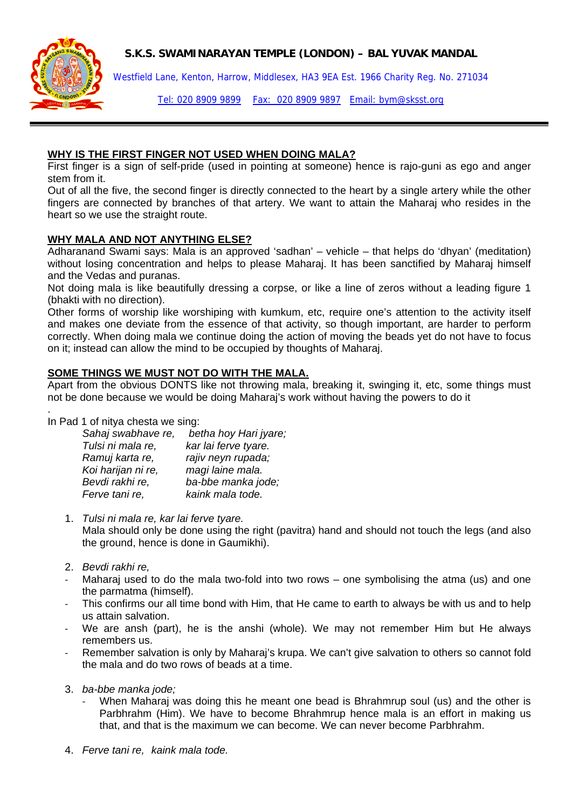**S.K.S. SWAMINARAYAN TEMPLE (LONDON) – BAL YUVAK MANDAL** 



Westfield Lane, Kenton, Harrow, Middlesex, HA3 9EA Est. 1966 Charity Reg. No. 271034

Tel: 020 8909 9899 Fax: 020 8909 9897 Email: bym@sksst.org

### **WHY IS THE FIRST FINGER NOT USED WHEN DOING MALA?**

First finger is a sign of self-pride (used in pointing at someone) hence is rajo-guni as ego and anger stem from it.

Out of all the five, the second finger is directly connected to the heart by a single artery while the other fingers are connected by branches of that artery. We want to attain the Maharaj who resides in the heart so we use the straight route.

## **WHY MALA AND NOT ANYTHING ELSE?**

Adharanand Swami says: Mala is an approved 'sadhan' – vehicle – that helps do 'dhyan' (meditation) without losing concentration and helps to please Maharai. It has been sanctified by Maharai himself and the Vedas and puranas.

Not doing mala is like beautifully dressing a corpse, or like a line of zeros without a leading figure 1 (bhakti with no direction).

Other forms of worship like worshiping with kumkum, etc, require one's attention to the activity itself and makes one deviate from the essence of that activity, so though important, are harder to perform correctly. When doing mala we continue doing the action of moving the beads yet do not have to focus on it; instead can allow the mind to be occupied by thoughts of Maharaj.

## **SOME THINGS WE MUST NOT DO WITH THE MALA.**

Apart from the obvious DONTS like not throwing mala, breaking it, swinging it, etc, some things must not be done because we would be doing Maharaj's work without having the powers to do it

. In Pad 1 of nitya chesta we sing:

| betha hoy Hari jyare; |
|-----------------------|
| kar lai ferve tyare.  |
| rajiv neyn rupada;    |
| magi laine mala.      |
| ba-bbe manka jode;    |
| kaink mala tode.      |
|                       |

- 1. *Tulsi ni mala re, kar lai ferve tyare.* Mala should only be done using the right (pavitra) hand and should not touch the legs (and also the ground, hence is done in Gaumikhi).
- 2. *Bevdi rakhi re,*
- Maharai used to do the mala two-fold into two rows  $-$  one symbolising the atma (us) and one the parmatma (himself).
- This confirms our all time bond with Him, that He came to earth to always be with us and to help us attain salvation.
- ‐ We are ansh (part), he is the anshi (whole). We may not remember Him but He always remembers us.
- Remember salvation is only by Maharaj's krupa. We can't give salvation to others so cannot fold the mala and do two rows of beads at a time.
- 3. *ba-bbe manka jode;*
	- When Maharaj was doing this he meant one bead is Bhrahmrup soul (us) and the other is Parbhrahm (Him). We have to become Bhrahmrup hence mala is an effort in making us that, and that is the maximum we can become. We can never become Parbhrahm.
- 4. *Ferve tani re, kaink mala tode.*